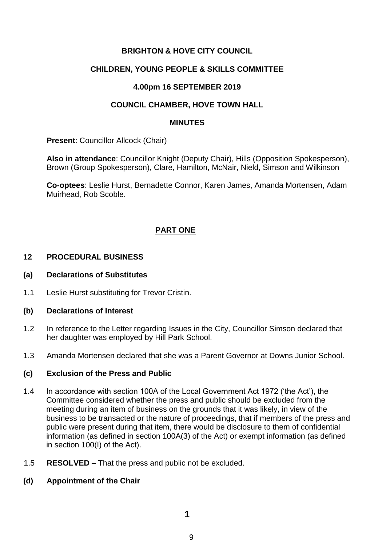## **BRIGHTON & HOVE CITY COUNCIL**

## **CHILDREN, YOUNG PEOPLE & SKILLS COMMITTEE**

## **4.00pm 16 SEPTEMBER 2019**

### **COUNCIL CHAMBER, HOVE TOWN HALL**

#### **MINUTES**

**Present: Councillor Allcock (Chair)** 

**Also in attendance**: Councillor Knight (Deputy Chair), Hills (Opposition Spokesperson), Brown (Group Spokesperson), Clare, Hamilton, McNair, Nield, Simson and Wilkinson

**Co-optees**: Leslie Hurst, Bernadette Connor, Karen James, Amanda Mortensen, Adam Muirhead, Rob Scoble.

# **PART ONE**

## **12 PROCEDURAL BUSINESS**

#### **(a) Declarations of Substitutes**

1.1 Leslie Hurst substituting for Trevor Cristin.

#### **(b) Declarations of Interest**

- 1.2 In reference to the Letter regarding Issues in the City, Councillor Simson declared that her daughter was employed by Hill Park School.
- 1.3 Amanda Mortensen declared that she was a Parent Governor at Downs Junior School.

## **(c) Exclusion of the Press and Public**

- 1.4 In accordance with section 100A of the Local Government Act 1972 ('the Act'), the Committee considered whether the press and public should be excluded from the meeting during an item of business on the grounds that it was likely, in view of the business to be transacted or the nature of proceedings, that if members of the press and public were present during that item, there would be disclosure to them of confidential information (as defined in section 100A(3) of the Act) or exempt information (as defined in section 100(I) of the Act).
- 1.5 **RESOLVED –** That the press and public not be excluded.

## **(d) Appointment of the Chair**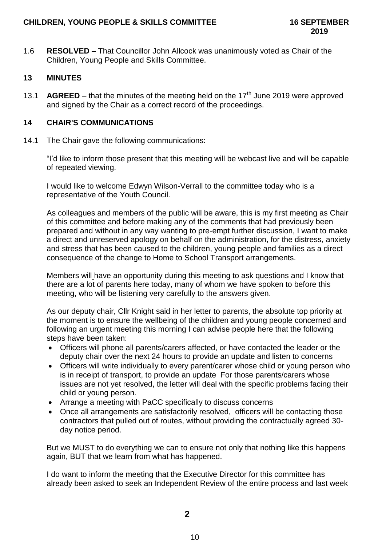1.6 **RESOLVED** – That Councillor John Allcock was unanimously voted as Chair of the Children, Young People and Skills Committee.

# **13 MINUTES**

13.1 **AGREED** – that the minutes of the meeting held on the  $17<sup>th</sup>$  June 2019 were approved and signed by the Chair as a correct record of the proceedings.

## **14 CHAIR'S COMMUNICATIONS**

14.1 The Chair gave the following communications:

"I'd like to inform those present that this meeting will be webcast live and will be capable of repeated viewing.

I would like to welcome Edwyn Wilson-Verrall to the committee today who is a representative of the Youth Council.

As colleagues and members of the public will be aware, this is my first meeting as Chair of this committee and before making any of the comments that had previously been prepared and without in any way wanting to pre-empt further discussion, I want to make a direct and unreserved apology on behalf on the administration, for the distress, anxiety and stress that has been caused to the children, young people and families as a direct consequence of the change to Home to School Transport arrangements.

Members will have an opportunity during this meeting to ask questions and I know that there are a lot of parents here today, many of whom we have spoken to before this meeting, who will be listening very carefully to the answers given.

As our deputy chair, Cllr Knight said in her letter to parents, the absolute top priority at the moment is to ensure the wellbeing of the children and young people concerned and following an urgent meeting this morning I can advise people here that the following steps have been taken:

- Officers will phone all parents/carers affected, or have contacted the leader or the deputy chair over the next 24 hours to provide an update and listen to concerns
- Officers will write individually to every parent/carer whose child or young person who is in receipt of transport, to provide an update For those parents/carers whose issues are not yet resolved, the letter will deal with the specific problems facing their child or young person.
- Arrange a meeting with PaCC specifically to discuss concerns
- Once all arrangements are satisfactorily resolved, officers will be contacting those contractors that pulled out of routes, without providing the contractually agreed 30 day notice period.

But we MUST to do everything we can to ensure not only that nothing like this happens again, BUT that we learn from what has happened.

I do want to inform the meeting that the Executive Director for this committee has already been asked to seek an Independent Review of the entire process and last week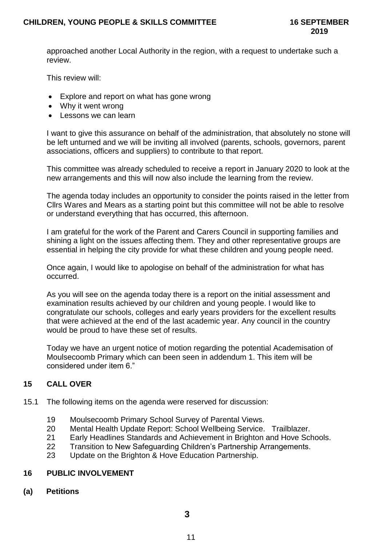approached another Local Authority in the region, with a request to undertake such a review.

This review will:

- Explore and report on what has gone wrong
- Why it went wrong
- Lessons we can learn

I want to give this assurance on behalf of the administration, that absolutely no stone will be left unturned and we will be inviting all involved (parents, schools, governors, parent associations, officers and suppliers) to contribute to that report.

This committee was already scheduled to receive a report in January 2020 to look at the new arrangements and this will now also include the learning from the review.

The agenda today includes an opportunity to consider the points raised in the letter from Cllrs Wares and Mears as a starting point but this committee will not be able to resolve or understand everything that has occurred, this afternoon.

I am grateful for the work of the Parent and Carers Council in supporting families and shining a light on the issues affecting them. They and other representative groups are essential in helping the city provide for what these children and young people need.

Once again, I would like to apologise on behalf of the administration for what has occurred.

As you will see on the agenda today there is a report on the initial assessment and examination results achieved by our children and young people. I would like to congratulate our schools, colleges and early years providers for the excellent results that were achieved at the end of the last academic year. Any council in the country would be proud to have these set of results.

Today we have an urgent notice of motion regarding the potential Academisation of Moulsecoomb Primary which can been seen in addendum 1. This item will be considered under item 6."

# **15 CALL OVER**

- 15.1 The following items on the agenda were reserved for discussion:
	- 19 Moulsecoomb Primary School Survey of Parental Views.
	- 20 Mental Health Update Report: School Wellbeing Service. Trailblazer.
	- 21 Early Headlines Standards and Achievement in Brighton and Hove Schools.
	- 22 Transition to New Safeguarding Children's Partnership Arrangements.
	- 23 Update on the Brighton & Hove Education Partnership.

## **16 PUBLIC INVOLVEMENT**

**(a) Petitions**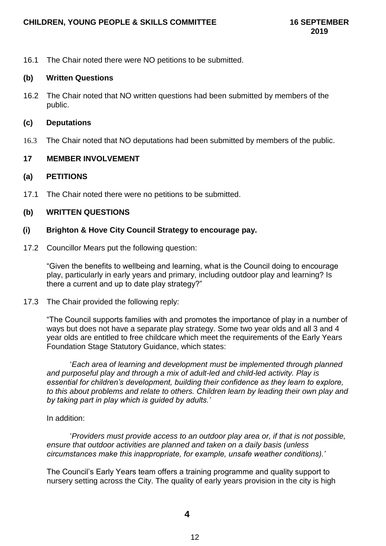16.1 The Chair noted there were NO petitions to be submitted.

### **(b) Written Questions**

16.2 The Chair noted that NO written questions had been submitted by members of the public.

### **(c) Deputations**

16.3 The Chair noted that NO deputations had been submitted by members of the public.

## **17 MEMBER INVOLVEMENT**

### **(a) PETITIONS**

17.1 The Chair noted there were no petitions to be submitted.

## **(b) WRITTEN QUESTIONS**

### **(i) Brighton & Hove City Council Strategy to encourage pay.**

17.2 Councillor Mears put the following question:

"Given the benefits to wellbeing and learning, what is the Council doing to encourage play, particularly in early years and primary, including outdoor play and learning? Is there a current and up to date play strategy?"

17.3 The Chair provided the following reply:

"The Council supports families with and promotes the importance of play in a number of ways but does not have a separate play strategy. Some two year olds and all 3 and 4 year olds are entitled to free childcare which meet the requirements of the Early Years Foundation Stage Statutory Guidance, which states:

'*Each area of learning and development must be implemented through planned and purposeful play and through a mix of adult-led and child-led activity. Play is essential for children's development, building their confidence as they learn to explore, to this about problems and relate to others. Children learn by leading their own play and by taking part in play which is guided by adults.'*

#### In addition:

'*Providers must provide access to an outdoor play area or, if that is not possible, ensure that outdoor activities are planned and taken on a daily basis (unless circumstances make this inappropriate, for example, unsafe weather conditions).'*

The Council's Early Years team offers a training programme and quality support to nursery setting across the City. The quality of early years provision in the city is high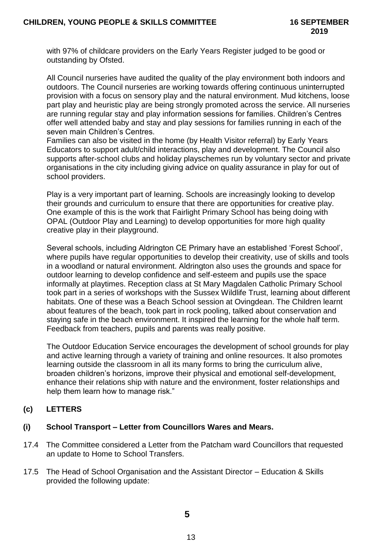with 97% of childcare providers on the Early Years Register judged to be good or outstanding by Ofsted.

All Council nurseries have audited the quality of the play environment both indoors and outdoors. The Council nurseries are working towards offering continuous uninterrupted provision with a focus on sensory play and the natural environment. Mud kitchens, loose part play and heuristic play are being strongly promoted across the service. All nurseries are running regular stay and play information sessions for families. Children's Centres offer well attended baby and stay and play sessions for families running in each of the seven main Children's Centres.

Families can also be visited in the home (by Health Visitor referral) by Early Years Educators to support adult/child interactions, play and development. The Council also supports after-school clubs and holiday playschemes run by voluntary sector and private organisations in the city including giving advice on quality assurance in play for out of school providers.

Play is a very important part of learning. Schools are increasingly looking to develop their grounds and curriculum to ensure that there are opportunities for creative play. One example of this is the work that Fairlight Primary School has being doing with OPAL (Outdoor Play and Learning) to develop opportunities for more high quality creative play in their playground.

Several schools, including Aldrington CE Primary have an established 'Forest School', where pupils have regular opportunities to develop their creativity, use of skills and tools in a woodland or natural environment. Aldrington also uses the grounds and space for outdoor learning to develop confidence and self-esteem and pupils use the space informally at playtimes. Reception class at St Mary Magdalen Catholic Primary School took part in a series of workshops with the Sussex Wildlife Trust, learning about different habitats. One of these was a Beach School session at Ovingdean. The Children learnt about features of the beach, took part in rock pooling, talked about conservation and staying safe in the beach environment. It inspired the learning for the whole half term. Feedback from teachers, pupils and parents was really positive.

The Outdoor Education Service encourages the development of school grounds for play and active learning through a variety of training and online resources. It also promotes learning outside the classroom in all its many forms to bring the curriculum alive, broaden children's horizons, improve their physical and emotional self-development, enhance their relations ship with nature and the environment, foster relationships and help them learn how to manage risk."

# **(c) LETTERS**

## **(i) School Transport – Letter from Councillors Wares and Mears.**

- 17.4 The Committee considered a Letter from the Patcham ward Councillors that requested an update to Home to School Transfers.
- 17.5 The Head of School Organisation and the Assistant Director Education & Skills provided the following update: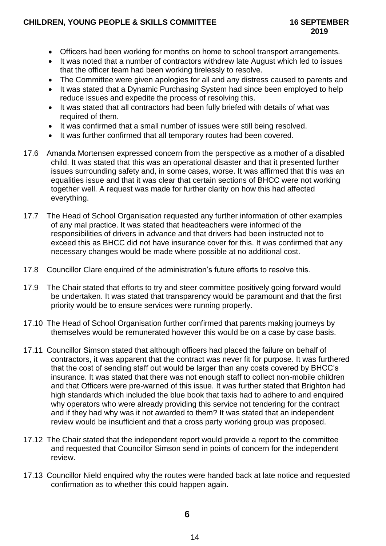## **CHILDREN, YOUNG PEOPLE & SKILLS COMMITTEE 16 SEPTEMBER**

- Officers had been working for months on home to school transport arrangements.
- It was noted that a number of contractors withdrew late August which led to issues that the officer team had been working tirelessly to resolve.
- The Committee were given apologies for all and any distress caused to parents and
- It was stated that a Dynamic Purchasing System had since been employed to help reduce issues and expedite the process of resolving this.
- It was stated that all contractors had been fully briefed with details of what was required of them.
- It was confirmed that a small number of issues were still being resolved.
- It was further confirmed that all temporary routes had been covered.
- 17.6 Amanda Mortensen expressed concern from the perspective as a mother of a disabled child. It was stated that this was an operational disaster and that it presented further issues surrounding safety and, in some cases, worse. It was affirmed that this was an equalities issue and that it was clear that certain sections of BHCC were not working together well. A request was made for further clarity on how this had affected everything.
- 17.7 The Head of School Organisation requested any further information of other examples of any mal practice. It was stated that headteachers were informed of the responsibilities of drivers in advance and that drivers had been instructed not to exceed this as BHCC did not have insurance cover for this. It was confirmed that any necessary changes would be made where possible at no additional cost.
- 17.8 Councillor Clare enquired of the administration's future efforts to resolve this.
- 17.9 The Chair stated that efforts to try and steer committee positively going forward would be undertaken. It was stated that transparency would be paramount and that the first priority would be to ensure services were running properly.
- 17.10 The Head of School Organisation further confirmed that parents making journeys by themselves would be remunerated however this would be on a case by case basis.
- 17.11 Councillor Simson stated that although officers had placed the failure on behalf of contractors, it was apparent that the contract was never fit for purpose. It was furthered that the cost of sending staff out would be larger than any costs covered by BHCC's insurance. It was stated that there was not enough staff to collect non-mobile children and that Officers were pre-warned of this issue. It was further stated that Brighton had high standards which included the blue book that taxis had to adhere to and enquired why operators who were already providing this service not tendering for the contract and if they had why was it not awarded to them? It was stated that an independent review would be insufficient and that a cross party working group was proposed.
- 17.12 The Chair stated that the independent report would provide a report to the committee and requested that Councillor Simson send in points of concern for the independent review.
- 17.13 Councillor Nield enquired why the routes were handed back at late notice and requested confirmation as to whether this could happen again.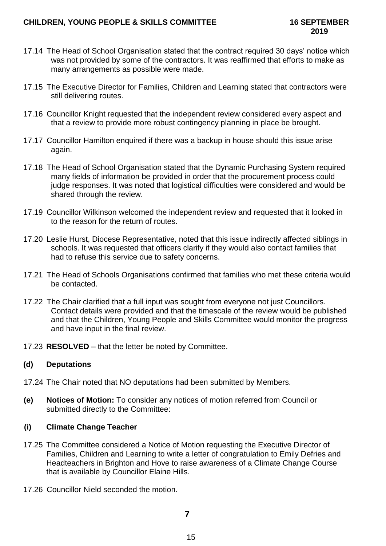- 17.14 The Head of School Organisation stated that the contract required 30 days' notice which was not provided by some of the contractors. It was reaffirmed that efforts to make as many arrangements as possible were made.
- 17.15 The Executive Director for Families, Children and Learning stated that contractors were still delivering routes.
- 17.16 Councillor Knight requested that the independent review considered every aspect and that a review to provide more robust contingency planning in place be brought.
- 17.17 Councillor Hamilton enquired if there was a backup in house should this issue arise again.
- 17.18 The Head of School Organisation stated that the Dynamic Purchasing System required many fields of information be provided in order that the procurement process could judge responses. It was noted that logistical difficulties were considered and would be shared through the review.
- 17.19 Councillor Wilkinson welcomed the independent review and requested that it looked in to the reason for the return of routes.
- 17.20 Leslie Hurst, Diocese Representative, noted that this issue indirectly affected siblings in schools. It was requested that officers clarify if they would also contact families that had to refuse this service due to safety concerns.
- 17.21 The Head of Schools Organisations confirmed that families who met these criteria would be contacted.
- 17.22 The Chair clarified that a full input was sought from everyone not just Councillors. Contact details were provided and that the timescale of the review would be published and that the Children, Young People and Skills Committee would monitor the progress and have input in the final review.
- 17.23 **RESOLVED** that the letter be noted by Committee.

## **(d) Deputations**

- 17.24 The Chair noted that NO deputations had been submitted by Members.
- **(e) Notices of Motion:** To consider any notices of motion referred from Council or submitted directly to the Committee:

## **(i) Climate Change Teacher**

- 17.25 The Committee considered a Notice of Motion requesting the Executive Director of Families, Children and Learning to write a letter of congratulation to Emily Defries and Headteachers in Brighton and Hove to raise awareness of a Climate Change Course that is available by Councillor Elaine Hills.
- 17.26 Councillor Nield seconded the motion.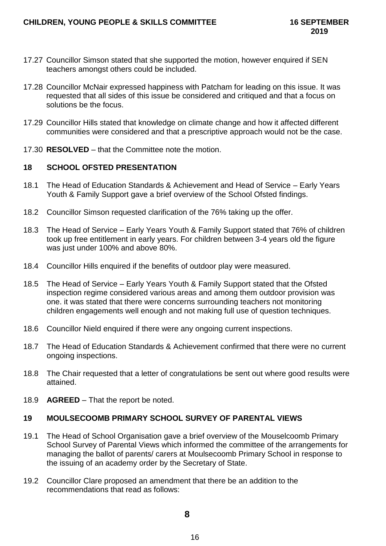- 17.27 Councillor Simson stated that she supported the motion, however enquired if SEN teachers amongst others could be included.
- 17.28 Councillor McNair expressed happiness with Patcham for leading on this issue. It was requested that all sides of this issue be considered and critiqued and that a focus on solutions be the focus.
- 17.29 Councillor Hills stated that knowledge on climate change and how it affected different communities were considered and that a prescriptive approach would not be the case.
- 17.30 **RESOLVED** that the Committee note the motion.

## **18 SCHOOL OFSTED PRESENTATION**

- 18.1 The Head of Education Standards & Achievement and Head of Service Early Years Youth & Family Support gave a brief overview of the School Ofsted findings.
- 18.2 Councillor Simson requested clarification of the 76% taking up the offer.
- 18.3 The Head of Service Early Years Youth & Family Support stated that 76% of children took up free entitlement in early years. For children between 3-4 years old the figure was just under 100% and above 80%.
- 18.4 Councillor Hills enquired if the benefits of outdoor play were measured.
- 18.5 The Head of Service Early Years Youth & Family Support stated that the Ofsted inspection regime considered various areas and among them outdoor provision was one. it was stated that there were concerns surrounding teachers not monitoring children engagements well enough and not making full use of question techniques.
- 18.6 Councillor Nield enquired if there were any ongoing current inspections.
- 18.7 The Head of Education Standards & Achievement confirmed that there were no current ongoing inspections.
- 18.8 The Chair requested that a letter of congratulations be sent out where good results were attained.
- 18.9 **AGREED** That the report be noted.

# **19 MOULSECOOMB PRIMARY SCHOOL SURVEY OF PARENTAL VIEWS**

- 19.1 The Head of School Organisation gave a brief overview of the Mouselcoomb Primary School Survey of Parental Views which informed the committee of the arrangements for managing the ballot of parents/ carers at Moulsecoomb Primary School in response to the issuing of an academy order by the Secretary of State.
- 19.2 Councillor Clare proposed an amendment that there be an addition to the recommendations that read as follows: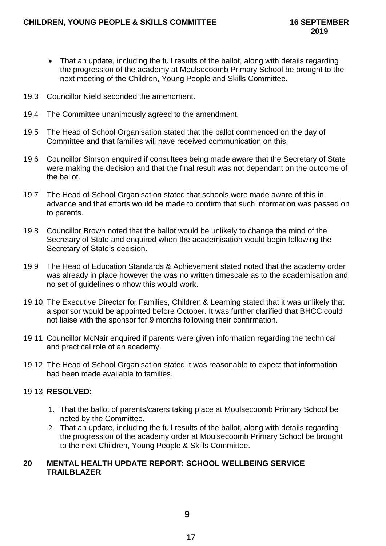- That an update, including the full results of the ballot, along with details regarding the progression of the academy at Moulsecoomb Primary School be brought to the next meeting of the Children, Young People and Skills Committee.
- 19.3 Councillor Nield seconded the amendment.
- 19.4 The Committee unanimously agreed to the amendment.
- 19.5 The Head of School Organisation stated that the ballot commenced on the day of Committee and that families will have received communication on this.
- 19.6 Councillor Simson enquired if consultees being made aware that the Secretary of State were making the decision and that the final result was not dependant on the outcome of the ballot.
- 19.7 The Head of School Organisation stated that schools were made aware of this in advance and that efforts would be made to confirm that such information was passed on to parents.
- 19.8 Councillor Brown noted that the ballot would be unlikely to change the mind of the Secretary of State and enquired when the academisation would begin following the Secretary of State's decision.
- 19.9 The Head of Education Standards & Achievement stated noted that the academy order was already in place however the was no written timescale as to the academisation and no set of guidelines o nhow this would work.
- 19.10 The Executive Director for Families, Children & Learning stated that it was unlikely that a sponsor would be appointed before October. It was further clarified that BHCC could not liaise with the sponsor for 9 months following their confirmation.
- 19.11 Councillor McNair enquired if parents were given information regarding the technical and practical role of an academy.
- 19.12 The Head of School Organisation stated it was reasonable to expect that information had been made available to families.

# 19.13 **RESOLVED**:

- 1. That the ballot of parents/carers taking place at Moulsecoomb Primary School be noted by the Committee.
- 2. That an update, including the full results of the ballot, along with details regarding the progression of the academy order at Moulsecoomb Primary School be brought to the next Children, Young People & Skills Committee.

## **20 MENTAL HEALTH UPDATE REPORT: SCHOOL WELLBEING SERVICE TRAILBLAZER**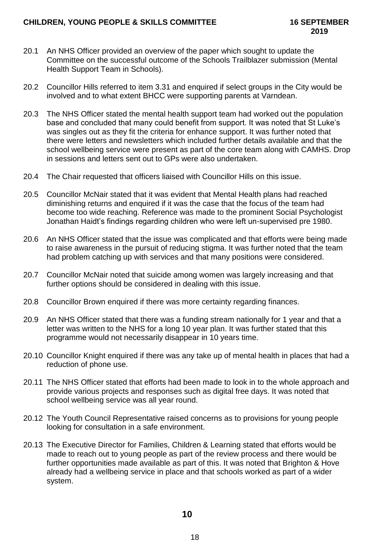- 20.1 An NHS Officer provided an overview of the paper which sought to update the Committee on the successful outcome of the Schools Trailblazer submission (Mental Health Support Team in Schools).
- 20.2 Councillor Hills referred to item 3.31 and enquired if select groups in the City would be involved and to what extent BHCC were supporting parents at Varndean.
- 20.3 The NHS Officer stated the mental health support team had worked out the population base and concluded that many could benefit from support. It was noted that St Luke's was singles out as they fit the criteria for enhance support. It was further noted that there were letters and newsletters which included further details available and that the school wellbeing service were present as part of the core team along with CAMHS. Drop in sessions and letters sent out to GPs were also undertaken.
- 20.4 The Chair requested that officers liaised with Councillor Hills on this issue.
- 20.5 Councillor McNair stated that it was evident that Mental Health plans had reached diminishing returns and enquired if it was the case that the focus of the team had become too wide reaching. Reference was made to the prominent Social Psychologist Jonathan Haidt's findings regarding children who were left un-supervised pre 1980.
- 20.6 An NHS Officer stated that the issue was complicated and that efforts were being made to raise awareness in the pursuit of reducing stigma. It was further noted that the team had problem catching up with services and that many positions were considered.
- 20.7 Councillor McNair noted that suicide among women was largely increasing and that further options should be considered in dealing with this issue.
- 20.8 Councillor Brown enquired if there was more certainty regarding finances.
- 20.9 An NHS Officer stated that there was a funding stream nationally for 1 year and that a letter was written to the NHS for a long 10 year plan. It was further stated that this programme would not necessarily disappear in 10 years time.
- 20.10 Councillor Knight enquired if there was any take up of mental health in places that had a reduction of phone use.
- 20.11 The NHS Officer stated that efforts had been made to look in to the whole approach and provide various projects and responses such as digital free days. It was noted that school wellbeing service was all year round.
- 20.12 The Youth Council Representative raised concerns as to provisions for young people looking for consultation in a safe environment.
- 20.13 The Executive Director for Families, Children & Learning stated that efforts would be made to reach out to young people as part of the review process and there would be further opportunities made available as part of this. It was noted that Brighton & Hove already had a wellbeing service in place and that schools worked as part of a wider system.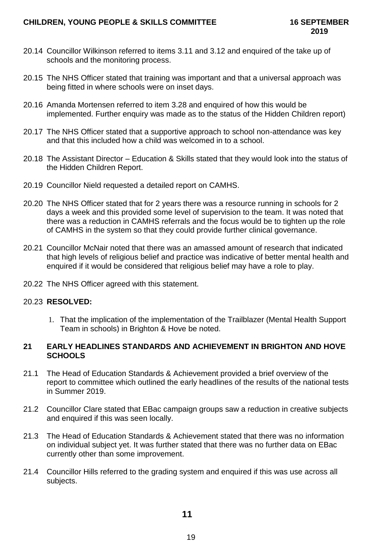- 20.14 Councillor Wilkinson referred to items 3.11 and 3.12 and enquired of the take up of schools and the monitoring process.
- 20.15 The NHS Officer stated that training was important and that a universal approach was being fitted in where schools were on inset days.
- 20.16 Amanda Mortensen referred to item 3.28 and enquired of how this would be implemented. Further enquiry was made as to the status of the Hidden Children report)
- 20.17 The NHS Officer stated that a supportive approach to school non-attendance was key and that this included how a child was welcomed in to a school.
- 20.18 The Assistant Director Education & Skills stated that they would look into the status of the Hidden Children Report.
- 20.19 Councillor Nield requested a detailed report on CAMHS.
- 20.20 The NHS Officer stated that for 2 years there was a resource running in schools for 2 days a week and this provided some level of supervision to the team. It was noted that there was a reduction in CAMHS referrals and the focus would be to tighten up the role of CAMHS in the system so that they could provide further clinical governance.
- 20.21 Councillor McNair noted that there was an amassed amount of research that indicated that high levels of religious belief and practice was indicative of better mental health and enquired if it would be considered that religious belief may have a role to play.
- 20.22 The NHS Officer agreed with this statement.

## 20.23 **RESOLVED:**

1. That the implication of the implementation of the Trailblazer (Mental Health Support Team in schools) in Brighton & Hove be noted.

## **21 EARLY HEADLINES STANDARDS AND ACHIEVEMENT IN BRIGHTON AND HOVE SCHOOLS**

- 21.1 The Head of Education Standards & Achievement provided a brief overview of the report to committee which outlined the early headlines of the results of the national tests in Summer 2019.
- 21.2 Councillor Clare stated that EBac campaign groups saw a reduction in creative subjects and enquired if this was seen locally.
- 21.3 The Head of Education Standards & Achievement stated that there was no information on individual subject yet. It was further stated that there was no further data on EBac currently other than some improvement.
- 21.4 Councillor Hills referred to the grading system and enquired if this was use across all subjects.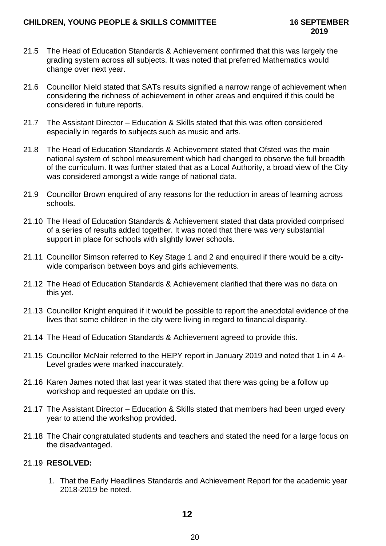- 21.5 The Head of Education Standards & Achievement confirmed that this was largely the grading system across all subjects. It was noted that preferred Mathematics would change over next year.
- 21.6 Councillor Nield stated that SATs results signified a narrow range of achievement when considering the richness of achievement in other areas and enquired if this could be considered in future reports.
- 21.7 The Assistant Director Education & Skills stated that this was often considered especially in regards to subjects such as music and arts.
- 21.8 The Head of Education Standards & Achievement stated that Ofsted was the main national system of school measurement which had changed to observe the full breadth of the curriculum. It was further stated that as a Local Authority, a broad view of the City was considered amongst a wide range of national data.
- 21.9 Councillor Brown enquired of any reasons for the reduction in areas of learning across schools.
- 21.10 The Head of Education Standards & Achievement stated that data provided comprised of a series of results added together. It was noted that there was very substantial support in place for schools with slightly lower schools.
- 21.11 Councillor Simson referred to Key Stage 1 and 2 and enquired if there would be a citywide comparison between boys and girls achievements.
- 21.12 The Head of Education Standards & Achievement clarified that there was no data on this yet.
- 21.13 Councillor Knight enquired if it would be possible to report the anecdotal evidence of the lives that some children in the city were living in regard to financial disparity.
- 21.14 The Head of Education Standards & Achievement agreed to provide this.
- 21.15 Councillor McNair referred to the HEPY report in January 2019 and noted that 1 in 4 A-Level grades were marked inaccurately.
- 21.16 Karen James noted that last year it was stated that there was going be a follow up workshop and requested an update on this.
- 21.17 The Assistant Director Education & Skills stated that members had been urged every year to attend the workshop provided.
- 21.18 The Chair congratulated students and teachers and stated the need for a large focus on the disadvantaged.

# 21.19 **RESOLVED:**

1. That the Early Headlines Standards and Achievement Report for the academic year 2018-2019 be noted.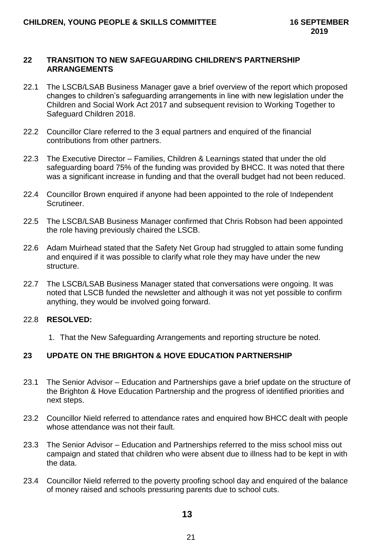### **22 TRANSITION TO NEW SAFEGUARDING CHILDREN'S PARTNERSHIP ARRANGEMENTS**

- 22.1 The LSCB/LSAB Business Manager gave a brief overview of the report which proposed changes to children's safeguarding arrangements in line with new legislation under the Children and Social Work Act 2017 and subsequent revision to Working Together to Safeguard Children 2018.
- 22.2 Councillor Clare referred to the 3 equal partners and enquired of the financial contributions from other partners.
- 22.3 The Executive Director Families, Children & Learnings stated that under the old safeguarding board 75% of the funding was provided by BHCC. It was noted that there was a significant increase in funding and that the overall budget had not been reduced.
- 22.4 Councillor Brown enquired if anyone had been appointed to the role of Independent Scrutineer.
- 22.5 The LSCB/LSAB Business Manager confirmed that Chris Robson had been appointed the role having previously chaired the LSCB.
- 22.6 Adam Muirhead stated that the Safety Net Group had struggled to attain some funding and enquired if it was possible to clarify what role they may have under the new structure.
- 22.7 The LSCB/LSAB Business Manager stated that conversations were ongoing. It was noted that LSCB funded the newsletter and although it was not yet possible to confirm anything, they would be involved going forward.

## 22.8 **RESOLVED:**

1. That the New Safeguarding Arrangements and reporting structure be noted.

## **23 UPDATE ON THE BRIGHTON & HOVE EDUCATION PARTNERSHIP**

- 23.1 The Senior Advisor Education and Partnerships gave a brief update on the structure of the Brighton & Hove Education Partnership and the progress of identified priorities and next steps.
- 23.2 Councillor Nield referred to attendance rates and enquired how BHCC dealt with people whose attendance was not their fault.
- 23.3 The Senior Advisor Education and Partnerships referred to the miss school miss out campaign and stated that children who were absent due to illness had to be kept in with the data.
- 23.4 Councillor Nield referred to the poverty proofing school day and enquired of the balance of money raised and schools pressuring parents due to school cuts.